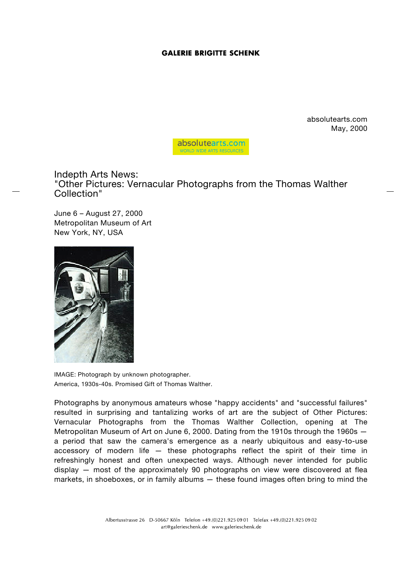## **GALERIE BRIGITTE SCHENK**

absolutearts.com May, 2000



Indepth Arts News: "Other Pictures: Vernacular Photographs from the Thomas Walther Collection"

June 6 – August 27, 2000 Metropolitan Museum of Art New York, NY, USA



IMAGE: Photograph by unknown photographer. America, 1930s-40s. Promised Gift of Thomas Walther.

Photographs by anonymous amateurs whose "happy accidents" and "successful failures" resulted in surprising and tantalizing works of art are the subject of Other Pictures: Vernacular Photographs from the Thomas Walther Collection, opening at The Metropolitan Museum of Art on June 6, 2000. Dating from the 1910s through the 1960s a period that saw the camera's emergence as a nearly ubiquitous and easy-to-use accessory of modern life — these photographs reflect the spirit of their time in refreshingly honest and often unexpected ways. Although never intended for public display — most of the approximately 90 photographs on view were discovered at flea markets, in shoeboxes, or in family albums — these found images often bring to mind the